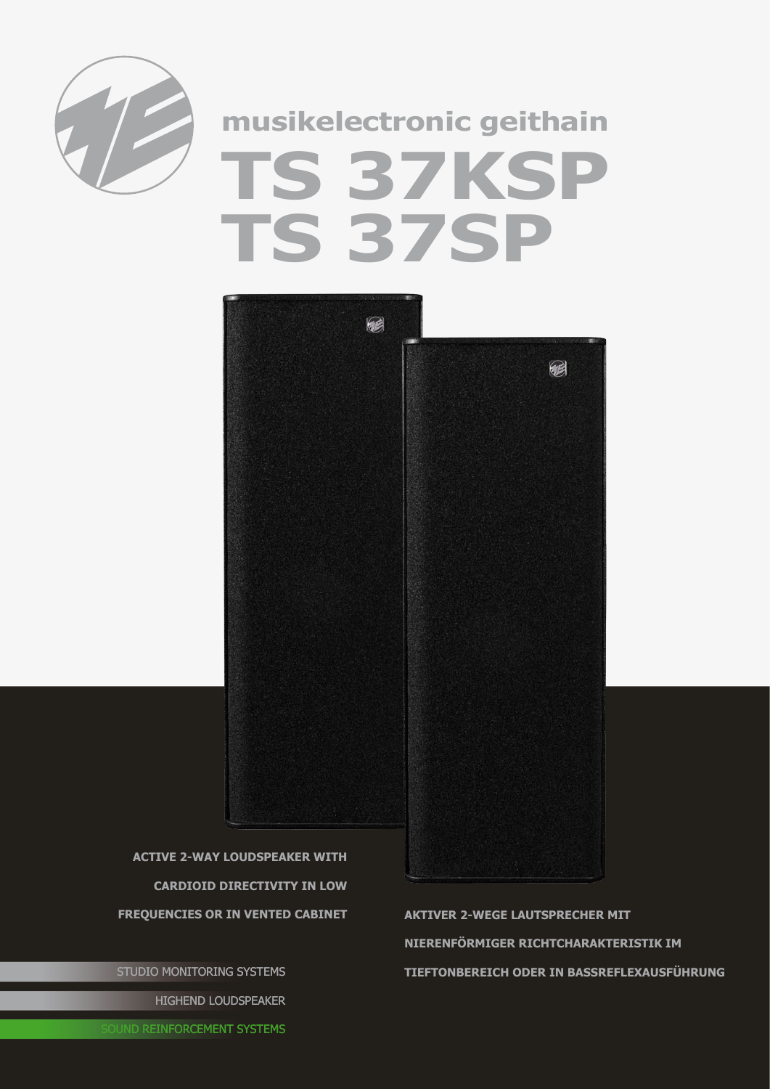

## **musikelectronic geithain TS 37KSP TS 37SP**



**active 2-way Loudspeaker with cardioid Directivity in low**

STUDIO MONITORING SYSTEMS HIGHEND LOUDSPEAKER

**Frequencies or in vented cabinet Aktiver 2-wEGE lAUTSPRECHER mit Nierenförmiger Richtcharakteristik im Tieftonbereich oder in Bassreflexausführung**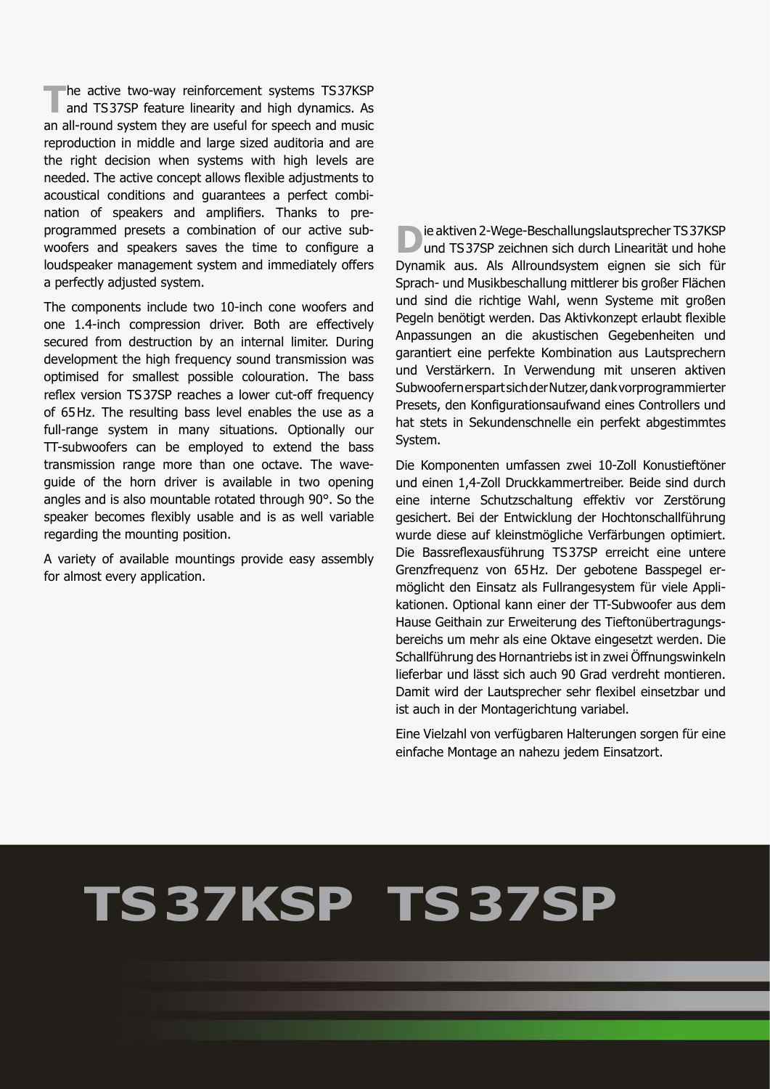**The active two-way reinforcement systems TS37KSP**<br>and TS37SP feature linearity and high dynamics. As an all-round system they are useful for speech and music reproduction in middle and large sized auditoria and are the right decision when systems with high levels are needed. The active concept allows flexible adjustments to acoustical conditions and guarantees a perfect combination of speakers and amplifiers. Thanks to preprogrammed presets a combination of our active subwoofers and speakers saves the time to configure a loudspeaker management system and immediately offers a perfectly adjusted system.

The components include two 10-inch cone woofers and one 1.4-inch compression driver. Both are effectively secured from destruction by an internal limiter. During development the high frequency sound transmission was optimised for smallest possible colouration. The bass reflex version TS37SP reaches a lower cut-off frequency of 65Hz. The resulting bass level enables the use as a full-range system in many situations. Optionally our TT-subwoofers can be employed to extend the bass transmission range more than one octave. The waveguide of the horn driver is available in two opening angles and is also mountable rotated through 90°. So the speaker becomes flexibly usable and is as well variable regarding the mounting position.

A variety of available mountings provide easy assembly for almost every application.

**D**ie aktiven 2-Wege-Beschallungslautsprecher TS37KSP<br>und TS37SP zeichnen sich durch Linearität und hohe Dynamik aus. Als Allroundsystem eignen sie sich für Sprach- und Musikbeschallung mittlerer bis großer Flächen und sind die richtige Wahl, wenn Systeme mit großen Pegeln benötigt werden. Das Aktivkonzept erlaubt flexible Anpassungen an die akustischen Gegebenheiten und garantiert eine perfekte Kombination aus Lautsprechern und Verstärkern. In Verwendung mit unseren aktiven Subwoofern erspart sich der Nutzer, dank vorprogrammierter Presets, den Konfigurationsaufwand eines Controllers und hat stets in Sekundenschnelle ein perfekt abgestimmtes System.

Die Komponenten umfassen zwei 10-Zoll Konustieftöner und einen 1,4-Zoll Druckkammertreiber. Beide sind durch eine interne Schutzschaltung effektiv vor Zerstörung gesichert. Bei der Entwicklung der Hochtonschallführung wurde diese auf kleinstmögliche Verfärbungen optimiert. Die Bassreflexausführung TS37SP erreicht eine untere Grenzfrequenz von 65Hz. Der gebotene Basspegel ermöglicht den Einsatz als Fullrangesystem für viele Applikationen. Optional kann einer der TT-Subwoofer aus dem Hause Geithain zur Erweiterung des Tieftonübertragungsbereichs um mehr als eine Oktave eingesetzt werden. Die Schallführung des Hornantriebs ist in zwei Öffnungswinkeln lieferbar und lässt sich auch 90 Grad verdreht montieren. Damit wird der Lautsprecher sehr flexibel einsetzbar und ist auch in der Montagerichtung variabel.

Eine Vielzahl von verfügbaren Halterungen sorgen für eine einfache Montage an nahezu jedem Einsatzort.

## **TS37KSP TS37SP**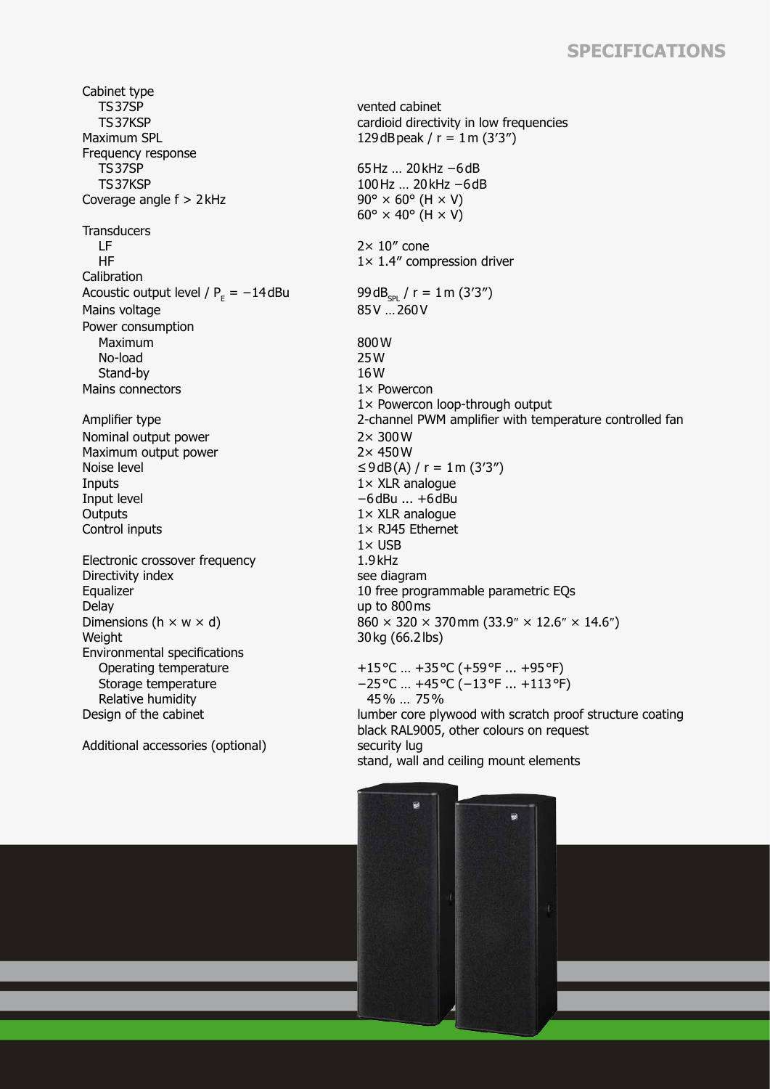## **Specifications**

Cabinet type TS37SP TS37KSP<br>Maximum SPL Frequency response TS37SP TS37KSP Coverage angle  $f > 2$  kHz 90°  $\times$  60° (H  $\times$  V) **Transducers**  LF HF **Calibration** Acoustic output level /  $P<sub>F</sub> = -14 dBu$ Mains voltage Power consumption Maximum No-load Stand-by Mains connectors 1× Powercon Nominal output power 2× 300W Maximum output power Noise level  $\leq 9 \text{ dB}(A) / r = 1 \text{ m} (3'3'')$ <br>Inputs  $1 \times XLR$  analogue Inputs 1× XLR analogue<br>Input level 11× XLR analogue Outputs 1× XLR analogue Control inputs 1× RJ45 Ethernet Electronic crossover frequency Directivity index see diagram<br>
Equalizer 10 free prog Delay up to 800 ms<br>Dimensions (h  $\times$  w  $\times$  d) 860  $\times$  320  $\times$ Weight 30kg (66.2lbs) Environmental specifications Operating temperature Storage temperature Relative humidity

Additional accessories (optional) security lug

vented cabinet cardioid directivity in low frequencies 129dBpeak /  $r = 1$  m (3'3") 65Hz … 20kHz −6dB 100Hz … 20kHz −6dB  $60^\circ \times 40^\circ$  (H  $\times$  V)  $2 \times 10''$  cone 1× 1.4″ compression driver  $99dB_{\text{SPL}} / r = 1 \text{m} (3'3'')$ <br>85V ... 260V 800W 25W 16W 1× Powercon loop-through output Amplifier type 2-channel PWM amplifier with temperature controlled fan -6dBu ... +6dBu  $1 \times$  USB<br> $1.9$  kHz Equalizer 10 free programmable parametric EQs<br>
Delay 10 free programmable parametric EQs  $860 \times 320 \times 370$  mm (33.9″  $\times$  12.6″  $\times$  14.6″) +15°C … +35°C (+59°F ... +95°F) −25°C … +45°C (−13°F ... +113°F) 45% … 75% Design of the cabinet lumber core plywood with scratch proof structure coating black RAL9005, other colours on request

stand, wall and ceiling mount elements